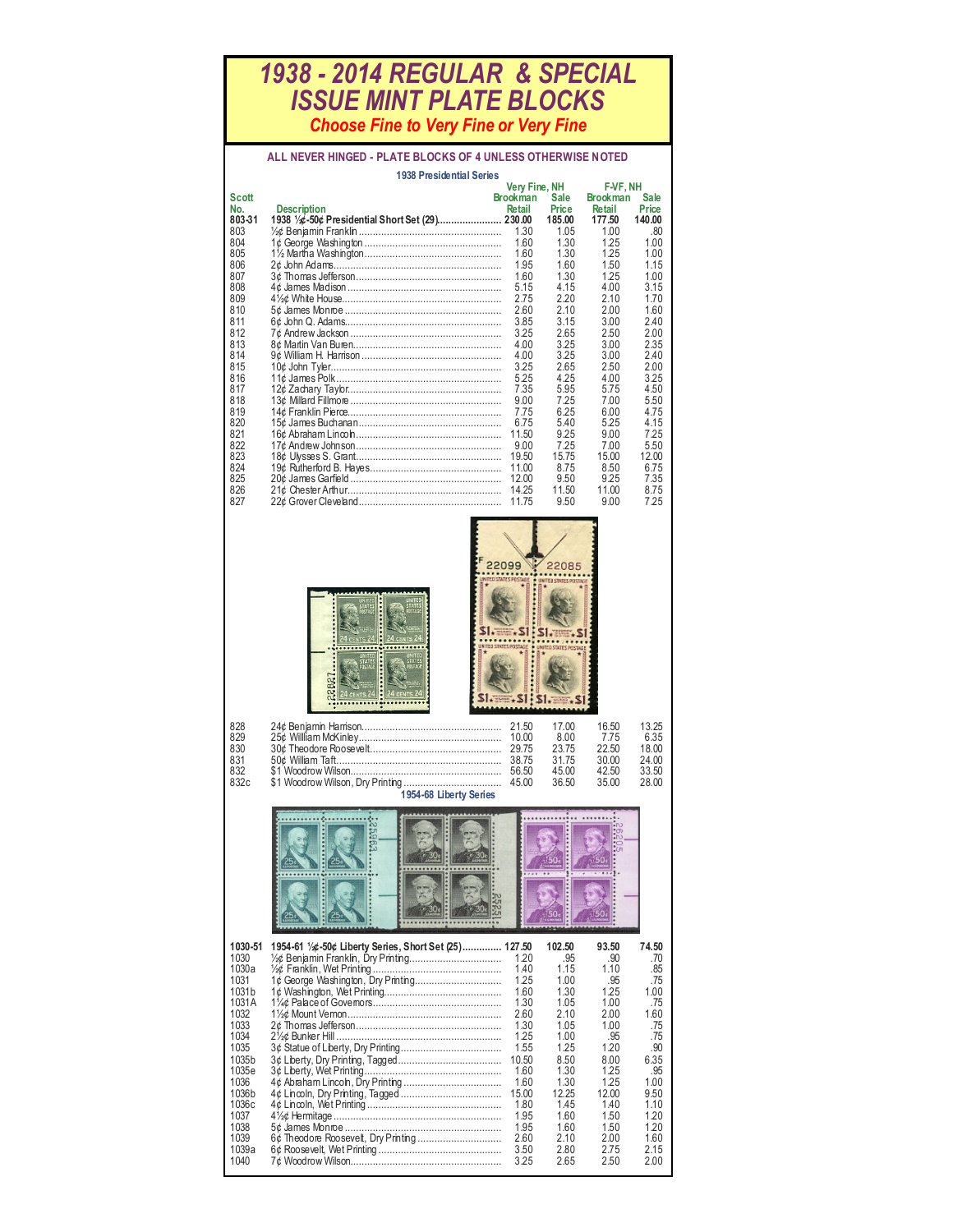## *1938 - 2014 REGULAR & SPECIAL ISSUE MINT PLATE BLOCKS Choose Fine to Very Fine or Very Fine*

## **ALL NEVER HINGED - PLATE BLOCKS OF 4 UNLESS OTHERWISE NOTED**

|              | <b>1938 Presidential Series</b> |                 |             |                 |             |  |  |
|--------------|---------------------------------|-----------------|-------------|-----------------|-------------|--|--|
|              |                                 | Very Fine, NH   |             | F-VF, NH        |             |  |  |
| <b>Scott</b> |                                 | <b>Brookman</b> | <b>Sale</b> | <b>Brookman</b> | <b>Sale</b> |  |  |
| No.          | <b>Description</b>              | Retail          | Price       | Retail          | Price       |  |  |
| 803-31       |                                 |                 | 185.00      | 177.50          | 140.00      |  |  |
| 803          |                                 | 1.30            | 1.05        | 1.00            | .80         |  |  |
| 804          |                                 | 1.60            | 1.30        | 1.25            | 1.00        |  |  |
| 805          |                                 | 1.60            | 1.30        | 1.25            | 1.00        |  |  |
| 806          |                                 | 1.95            | 1.60        | 1.50            | 1.15        |  |  |
| 807          |                                 | 1.60            | 1.30        | 1.25            | 1.00        |  |  |
| 808          |                                 | 5.15            | 4.15        | 4.00            | 3.15        |  |  |
| 809          |                                 | 2.75            | 2.20        | 2.10            | 1.70        |  |  |
| 810          |                                 | 2.60            | 2.10        | 2.00            | 1.60        |  |  |
| 811          |                                 | 3.85            | 3.15        | 3.00            | 2.40        |  |  |
| 812          |                                 | 3.25            | 2.65        | 2.50            | 2.00        |  |  |
| 813          |                                 | 4.00            | 3.25        | 3.00            | 2.35        |  |  |
| 814          |                                 | 4.00            | 3.25        | 3.00            | 2.40        |  |  |
| 815          |                                 | 3.25            | 2.65        | 2.50            | 2.00        |  |  |
| 816          |                                 | 5.25            | 4.25        | 4.00            | 3.25        |  |  |
| 817          |                                 | 7.35            | 5.95        | 5.75            | 4.50        |  |  |
| 818          |                                 | 9.00            | 7.25        | 7.00            | 5.50        |  |  |
| 819          |                                 | 7.75            | 6.25        | 6.00            | 4.75        |  |  |
| 820          |                                 | 6.75            | 5.40        | 5.25            | 4.15        |  |  |
| 821          |                                 | 11.50           | 9.25        | 9.00            | 7.25        |  |  |
| 822          |                                 | 9.00            | 7.25        | 7.00            | 5.50        |  |  |
| 823          |                                 |                 | 15.75       | 15.00           | 12.00       |  |  |
| 824          |                                 | 11.00           | 8.75        | 8.50            | 6.75        |  |  |
| 825          |                                 | 12.00           | 9.50        | 9.25            | 7.35        |  |  |
| 826          |                                 | 14.25           | 11.50       | 11.00           | 8.75        |  |  |
| 827          |                                 | 11.75           | 9.50        | 9.00            | 7.25        |  |  |



| UNITED<br>STATES<br>FOSTAGE<br><b>Billian</b><br>24<br><b>CENTS</b>                        | τt<br>STATES<br>Fostace<br>24<br>24 CENTS                              |
|--------------------------------------------------------------------------------------------|------------------------------------------------------------------------|
| UNITED<br>STATES<br><b>POSTAGE</b><br>2827<br><b><i><u>ANSIER</u></i></b><br>ø<br>24 CENTS | UNITED<br><b>STATES</b><br>POSTAGE<br>mit<br>CENTS <sub>24</sub><br>24 |

| 828  |                        | 17.00 | 16.50 | 13.25 |
|------|------------------------|-------|-------|-------|
|      |                        |       |       |       |
| 829  |                        | 8.00  | 775   | 6.35  |
| 830  |                        | 23.75 | 22.50 | 18.00 |
| 831  |                        | 3175  | 30.00 | 24.00 |
| 832  |                        | 45.00 | 42.50 | 33.50 |
| 832c |                        | 36.50 | 35.00 | 28.00 |
|      | 1954-68 Liberty Series |       |       |       |

| 1030-51<br>1030   | 1954-61 1/26-50¢ Liberty Series, Short Set (25) 127.50 | 1.20  | 102.50<br>.95 | 93.50<br>.90 | 74.50<br>.70 |
|-------------------|--------------------------------------------------------|-------|---------------|--------------|--------------|
| 1030a             |                                                        | 1.40  | 1.15          | 1.10         | .85          |
| 1031              |                                                        | 1.25  | 1.00          | .95          | .75          |
| 1031b             |                                                        | 1.60  | 1.30          | 1.25         | 1.00         |
| 1031A             |                                                        | 1.30  | 1.05          | 1.00         | .75          |
| 1032              |                                                        | 2.60  | 210           | 2.00         | 1.60         |
| 1033              |                                                        | 1.30  | 1 0 5         | 1.00         | .75          |
| 1034              |                                                        | 1.25  | 1.00          | .95          | .75          |
| 1035              |                                                        | 1.55  | 1.25          | 1.20         | .90          |
| 1035b             |                                                        | 10.50 | 8.50          | 8.00         | 6.35         |
| 1035e             |                                                        | 1.60  | 1.30          | 125          | .95          |
| 1036              |                                                        | 1.60  | 1.30          | 1 25         | 1.00         |
| 1036b             |                                                        | 15.00 | 12.25         | 12.00        | 9.50         |
| 1036 <sub>c</sub> |                                                        | 1.80  | 1.45          | 1.40         | 110          |
| 1037              |                                                        | 1.95  | 1.60          | 1.50         | 1.20         |
| 1038              |                                                        | 1.95  | 1.60          | 1.50         | 1.20         |
| 1039              |                                                        | 2.60  | 210           | 200          | 1 60         |
| 1039a             |                                                        | 3.50  | 2.80          | 275          | 215          |
| 1040              |                                                        | 3.25  | 2.65          | 2.50         | 2.00         |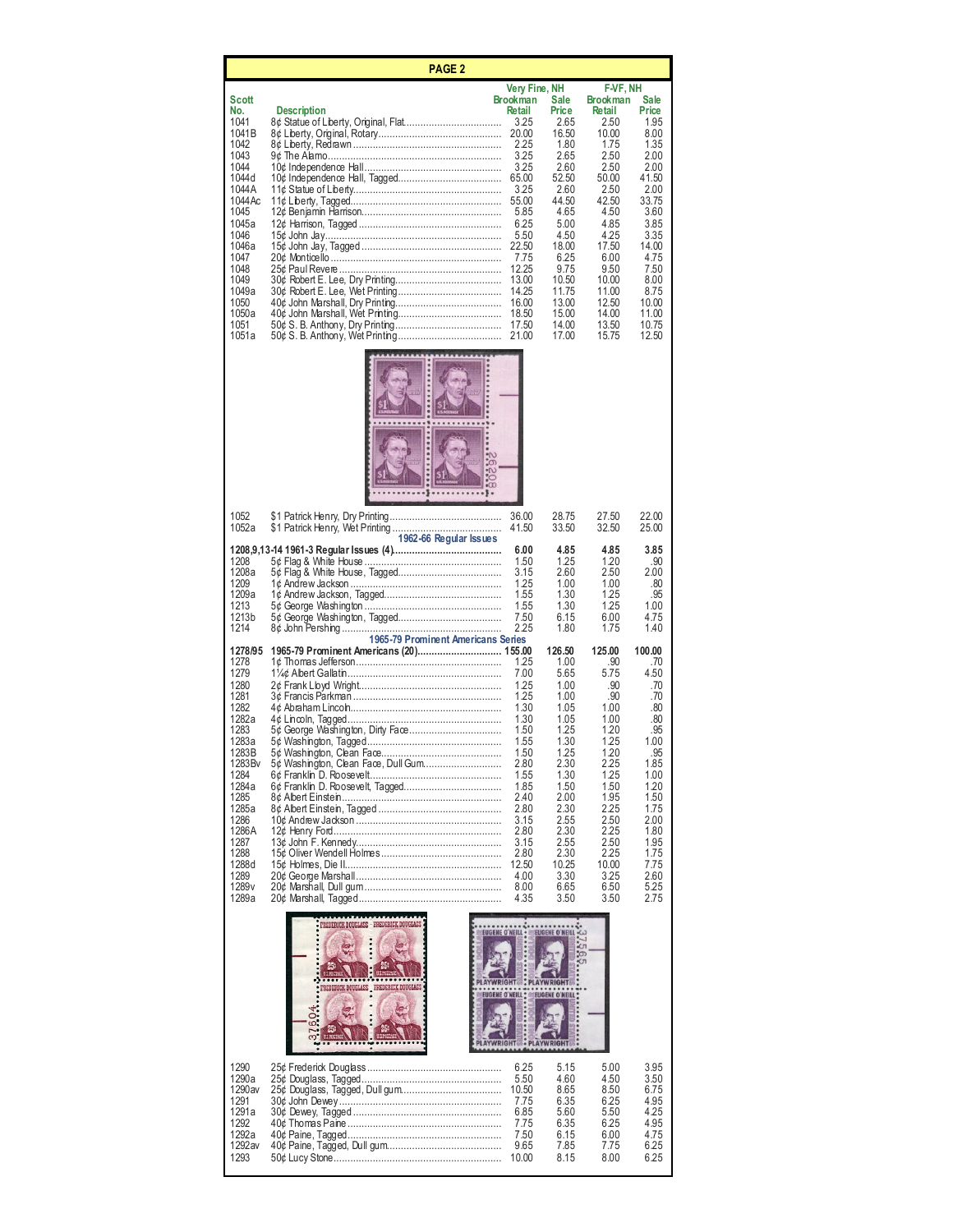| <b>PAGE 2</b>                                                                                                                                                                                       |                                                                                                                    |                                                                                                                                                                                                                       |                                                                                                                                                                                         |                                                                                                                                                                                                                 |                                                                                                                                                                                      |  |
|-----------------------------------------------------------------------------------------------------------------------------------------------------------------------------------------------------|--------------------------------------------------------------------------------------------------------------------|-----------------------------------------------------------------------------------------------------------------------------------------------------------------------------------------------------------------------|-----------------------------------------------------------------------------------------------------------------------------------------------------------------------------------------|-----------------------------------------------------------------------------------------------------------------------------------------------------------------------------------------------------------------|--------------------------------------------------------------------------------------------------------------------------------------------------------------------------------------|--|
| Scott<br>No.<br>1041<br>1041B<br>1042<br>1043<br>1044<br>1044 d<br>1044 A<br>1044 Ac<br>1045<br>1045a<br>1046<br>1046a<br>1047<br>1048<br>1049<br>1049a<br>1050<br>1050a<br>1051<br>1051a           | <b>Description</b>                                                                                                 | Very Fine, NH<br><b>Brookman</b><br>Retail<br>3.25<br>20.00<br>2.25<br>3.25<br>3.25<br>65.00<br>3.25<br>55.00<br>5.85<br>6.25<br>5.50<br>22.50<br>7.75<br>12.25<br>13.00<br>14.25<br>16.00<br>18.50<br>17.50<br>21.00 | Sale<br>Price<br>2.65<br>16.50<br>1.80<br>2.65<br>2.60<br>52.50<br>2.60<br>44.50<br>4.65<br>5.00<br>4.50<br>18.00<br>6.25<br>9.75<br>10.50<br>11.75<br>13.00<br>15.00<br>14.00<br>17.00 | F-VF, NH<br><b>Brookman</b><br>Retail<br>2.50<br>10.00<br>1.75<br>2.50<br>2.50<br>50.00<br>2.50<br>42.50<br>4.50<br>4.85<br>4.25<br>17.50<br>6.00<br>9.50<br>10.00<br>11.00<br>12.50<br>14.00<br>13.50<br>15.75 | Sale<br>Price<br>1.95<br>8.00<br>1.35<br>2.00<br>2.00<br>41.50<br>2.00<br>33.75<br>3.60<br>3.85<br>3.35<br>14.00<br>4.75<br>7.50<br>8.00<br>8.75<br>10.00<br>11.00<br>10.75<br>12.50 |  |
| 1052<br>1052a<br>1208<br>1208a                                                                                                                                                                      | 1962-66 Regular Issues                                                                                             | 36.00<br>41.50<br>6.00<br>1.50<br>3.15                                                                                                                                                                                | 28.75<br>33.50<br>4.85<br>1.25<br>2.60                                                                                                                                                  | 27.50<br>32.50<br>4.85<br>1.20<br>2.50                                                                                                                                                                          | 22.00<br>25.00<br>3.85<br>.90<br>2.00                                                                                                                                                |  |
| 1209<br>1209a<br>1213<br>1213b<br>1214<br>1278/95                                                                                                                                                   | 1965-79 Prominent Americans Series                                                                                 | 1.25<br>1.55<br>1.55<br>7.50<br>2.25                                                                                                                                                                                  | 1.00<br>1.30<br>1.30<br>6.15<br>1.80<br>126.50                                                                                                                                          | 1.00<br>1.25<br>1.25<br>6.00<br>1.75<br>125.00                                                                                                                                                                  | .80<br>.95<br>1.00<br>4.75<br>1.40<br>100.00                                                                                                                                         |  |
| 1278<br>1279<br>1280<br>1281<br>1282<br>1282a<br>1283<br>1283a<br>1283B<br>1283Bv<br>1284<br>1284a<br>1285<br>1285a<br>1286<br>1286A<br>1287<br>1288<br>1288d<br>1289<br>1289 <sub>v</sub><br>1289a | 5¢ George Washington, Dirty Face<br>5¢ Washington, Clean Face, Dull Gum                                            | 1.25<br>7.00<br>1.25<br>1.25<br>1.30<br>1.30<br>1.50<br>1.55<br>1.50<br>2.80<br>1.55<br>1.85<br>2.40<br>2.80<br>3.15<br>2.80<br>3.15<br>2.80<br>12.50<br>4.00<br>8.00<br>4.35                                         | 1.00<br>5.65<br>1.00<br>1.00<br>1.05<br>1.05<br>1.25<br>1.30<br>1.25<br>2.30<br>1.30<br>1.50<br>2.00<br>2.30<br>2.55<br>2.30<br>2.55<br>2.30<br>10.25<br>3.30<br>6.65<br>3.50           | .90<br>5.75<br>.90<br>.90<br>1.00<br>1.00<br>1.20<br>1.25<br>1.20<br>2.25<br>1.25<br>1.50<br>1.95<br>2.25<br>2.50<br>2.25<br>2.50<br>2.25<br>10.00<br>3.25<br>6.50<br>3.50                                      | .70<br>4.50<br>.70<br>.70<br>.80<br>.80<br>.95<br>1.00<br>95<br>1.85<br>1.00<br>1.20<br>1.50<br>1.75<br>2.00<br>1.80<br>1.95<br>1.75<br>7.75<br>2.60<br>5.25<br>2.75                 |  |
|                                                                                                                                                                                                     | <b>PREDERICK DOUGLASS - FREDERICK DOUGLASS</b><br><b>PLAYWRIGHT</b><br>PREDERICK DOUGLASS PREDERICK DOUGLASS<br>လ: | <b>EUGENE O'NEILL .</b><br><b>EUGENE O'NEILL :</b><br><b>YWRIGHT</b>                                                                                                                                                  | <b>EUGENE O'NEILL .CO</b><br>56.<br>ĊЛ<br><b>PLAYWRIGHT</b><br><b>EUGENE O'NEILL *</b><br><b>PLAYWRIGHT</b>                                                                             |                                                                                                                                                                                                                 |                                                                                                                                                                                      |  |
| 1290<br>1290a<br>1290av<br>1291<br>1291a<br>1292<br>1292a<br>1292av<br>1293                                                                                                                         |                                                                                                                    | 6.25<br>5.50<br>10.50<br>7.75<br>6.85<br>7.75<br>7.50<br>9.65<br>10.00                                                                                                                                                | 5.15<br>4.60<br>8.65<br>6.35<br>5.60<br>6.35<br>6.15<br>7.85<br>8.15                                                                                                                    | 5.00<br>4.50<br>8.50<br>6.25<br>5.50<br>6.25<br>6.00<br>7.75<br>8.00                                                                                                                                            | 3.95<br>3.50<br>6.75<br>4.95<br>4.25<br>4.95<br>4.75<br>6.25<br>6.25                                                                                                                 |  |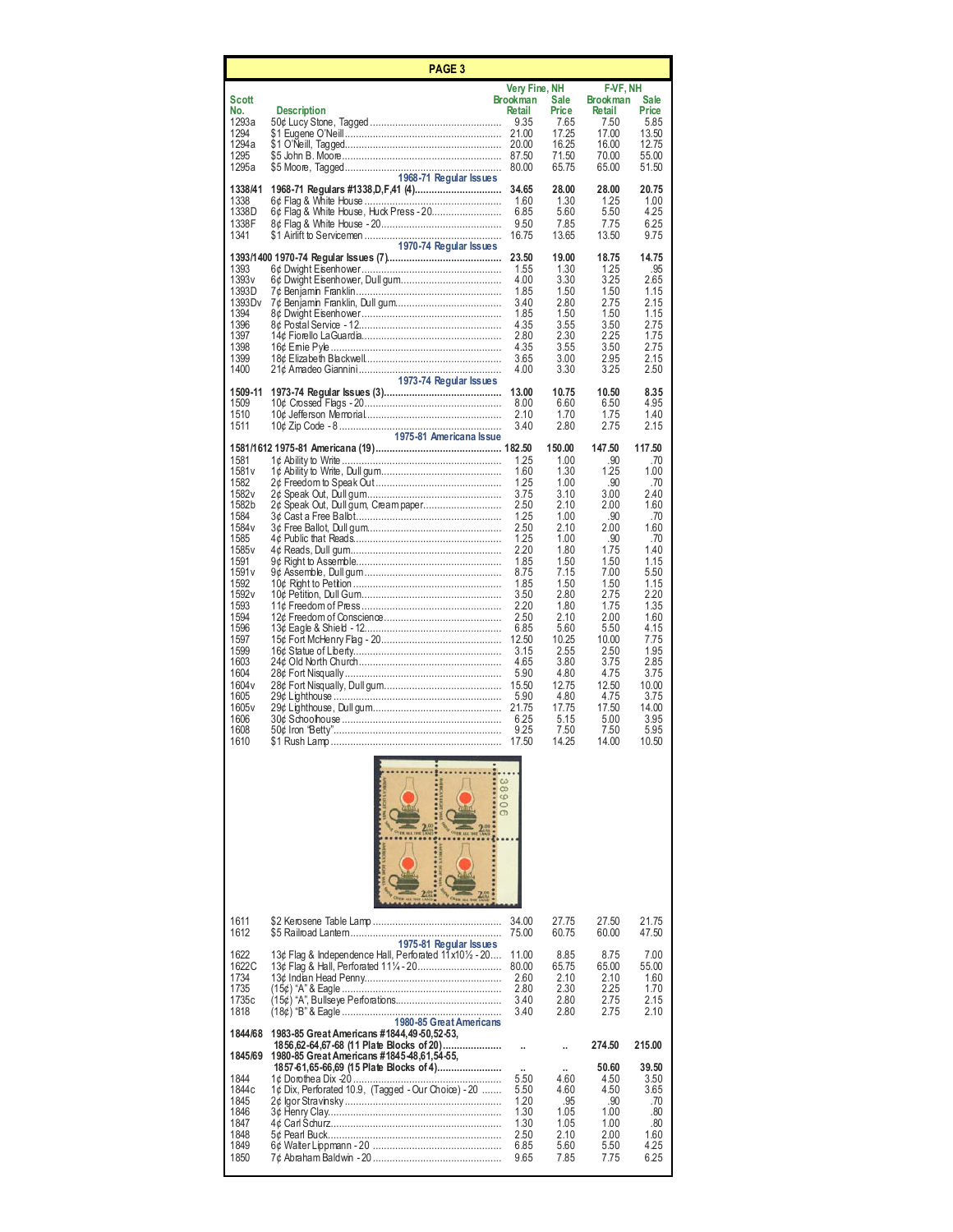|                                                                                                                                                                                                                                                                                      | <b>PAGE 3</b>                                                                                                                                |                                                                                                                                                                                                                                                          |                                                                                                                                                                                                                            |                                                                                                                                                                                                                        |                                                                                                                                                                                                                       |  |  |
|--------------------------------------------------------------------------------------------------------------------------------------------------------------------------------------------------------------------------------------------------------------------------------------|----------------------------------------------------------------------------------------------------------------------------------------------|----------------------------------------------------------------------------------------------------------------------------------------------------------------------------------------------------------------------------------------------------------|----------------------------------------------------------------------------------------------------------------------------------------------------------------------------------------------------------------------------|------------------------------------------------------------------------------------------------------------------------------------------------------------------------------------------------------------------------|-----------------------------------------------------------------------------------------------------------------------------------------------------------------------------------------------------------------------|--|--|
| Scott<br>No.<br>1293a<br>1294<br>1294a<br>1295                                                                                                                                                                                                                                       | Description                                                                                                                                  | Very Fine, NH<br><b>Brookman</b><br>Retail<br>9.35<br>21.00<br>20.00<br>87.50                                                                                                                                                                            | Sale<br>Price<br>7.65<br>17.25<br>16.25<br>71.50                                                                                                                                                                           | F-VF, NH<br><b>Brookman</b><br>Retail<br>7.50<br>17.00<br>16.00<br>70.00                                                                                                                                               | Sale<br>Price<br>5.85<br>13.50<br>12.75<br>55.00                                                                                                                                                                      |  |  |
| 1295a<br>1338/41<br>1338<br>1338D<br>1338F<br>1341                                                                                                                                                                                                                                   | 1968-71 Regular Issues<br>6¢ Flag & White House, Huck Press - 20<br>1970-74 Regular Issues                                                   | 80.00<br>34.65<br>1.60<br>6.85<br>9.50<br>16.75                                                                                                                                                                                                          | 65.75<br>28.00<br>1.30<br>5.60<br>7.85<br>13.65                                                                                                                                                                            | 65.00<br>28.00<br>1.25<br>5.50<br>7.75<br>13.50                                                                                                                                                                        | 51.50<br>20.75<br>1.00<br>4.25<br>6.25<br>9.75                                                                                                                                                                        |  |  |
| 1393<br>1393 v<br>1393D<br>1393 D v<br>1394<br>1396<br>1397<br>1398<br>1399<br>1400                                                                                                                                                                                                  |                                                                                                                                              | 23.50<br>1.55<br>4.00<br>1.85<br>3.40<br>1.85<br>4.35<br>2.80<br>4.35<br>3.65<br>4.00                                                                                                                                                                    | 19.00<br>1.30<br>3.30<br>1.50<br>2.80<br>1.50<br>3.55<br>2.30<br>3.55<br>3.00<br>3.30                                                                                                                                      | 18.75<br>1.25<br>3.25<br>1.50<br>2.75<br>1.50<br>3.50<br>2.25<br>3.50<br>2.95<br>3.25                                                                                                                                  | 14.75<br>.95<br>2.65<br>1.15<br>2.15<br>1.15<br>2.75<br>1.75<br>2.75<br>2.15<br>2.50                                                                                                                                  |  |  |
| 1509-11<br>1509<br>1510<br>1511                                                                                                                                                                                                                                                      | 1973-74 Regular Issues<br>1975-81 Americana Issue                                                                                            | 13.00<br>8.00<br>2.10<br>3.40                                                                                                                                                                                                                            | 10.75<br>6.60<br>1.70<br>2.80                                                                                                                                                                                              | 10.50<br>6.50<br>1.75<br>2.75                                                                                                                                                                                          | 8.35<br>4.95<br>1.40<br>2.15                                                                                                                                                                                          |  |  |
| 1581<br>1581 v<br>1582<br>1582 <sub>v</sub><br>1582b<br>1584<br>1584 v<br>1585<br>1585 <sub>v</sub><br>1591<br>1591 v<br>1592<br>1592 <sub>v</sub><br>1593<br>1594<br>1596<br>1597<br>1599<br>1603<br>1604<br>1604 <sub>v</sub><br>1605<br>1605 <sub>v</sub><br>1606<br>1608<br>1610 | 2¢ Speak Out, Dull gum, Cream paper                                                                                                          | 1.25<br>1.60<br>1.25<br>3.75<br>2.50<br>1.25<br>2.50<br>1.25<br>2.20<br>1.85<br>8.75<br>1.85<br>3.50<br>2.20<br>2.50<br>6.85<br>12.50<br>3.15<br>4.65<br>5.90<br>15.50<br>5.90<br>21.75<br>6.25<br>9.25<br>17.50<br>$\omega$<br>8<br>S<br>$\overline{9}$ | 150.00<br>1.00<br>1.30<br>1.00<br>3.10<br>2.10<br>1.00<br>2.10<br>1.00<br>1.80<br>1.50<br>7.15<br>1.50<br>2.80<br>1.80<br>2.10<br>5.60<br>10.25<br>2.55<br>3.80<br>4.80<br>12.75<br>4.80<br>17.75<br>5.15<br>7.50<br>14.25 | 147.50<br>.90<br>1.25<br>.90<br>3.00<br>2.00<br>.90<br>2.00<br>.90<br>1.75<br>1.50<br>7.00<br>1.50<br>2.75<br>1.75<br>2.00<br>5.50<br>10.00<br>2.50<br>3.75<br>4.75<br>12.50<br>4.75<br>17.50<br>5.00<br>7.50<br>14.00 | 117.50<br>.70<br>1.00<br>.70<br>2.40<br>1.60<br>.70<br>1.60<br>.70<br>1.40<br>1.15<br>5.50<br>1.15<br>2.20<br>1.35<br>1.60<br>4.15<br>7.75<br>1.95<br>2.85<br>3.75<br>10.00<br>3.75<br>14.00<br>3.95<br>5.95<br>10.50 |  |  |
| 1611<br>1612                                                                                                                                                                                                                                                                         | 1975-81 Regular Issues                                                                                                                       | 34.00<br>75.00                                                                                                                                                                                                                                           | 27.75<br>60.75                                                                                                                                                                                                             | 27.50<br>60.00                                                                                                                                                                                                         | 21.75<br>47.50                                                                                                                                                                                                        |  |  |
| 1622<br>1622C<br>1734<br>1735<br>1735c<br>1818                                                                                                                                                                                                                                       | 13¢ Flag & Independence Hall, Perforated 11x101/2 - 20<br>1980-85 Great Americans                                                            | 11.00<br>80.00<br>2.60<br>2.80<br>3.40<br>3.40                                                                                                                                                                                                           | 8.85<br>65.75<br>2.10<br>2.30<br>2.80<br>2.80                                                                                                                                                                              | 8.75<br>65.00<br>2.10<br>2.25<br>2.75<br>2.75                                                                                                                                                                          | 7.00<br>55.00<br>1.60<br>1.70<br>2.15<br>2.10                                                                                                                                                                         |  |  |
| 1844/68                                                                                                                                                                                                                                                                              | 1983-85 Great Americans #1844,49-50,52-53,<br>1856,62-64,67-68 (11 Plate Blocks of 20)                                                       |                                                                                                                                                                                                                                                          |                                                                                                                                                                                                                            | 274.50                                                                                                                                                                                                                 | 215.00                                                                                                                                                                                                                |  |  |
| 1845/69<br>1844<br>1844 <sub>c</sub><br>1845<br>1846<br>1847<br>1848<br>1849<br>1850                                                                                                                                                                                                 | 1980-85 Great Americans #1845-48,61,54-55,<br>1857-61,65-66,69 (15 Plate Blocks of 4)<br>1¢ Dix, Perforated 10.9, (Tagged - Our Choice) - 20 | 5.50<br>5.50<br>1.20<br>1.30<br>1.30<br>2.50<br>6.85<br>9.65                                                                                                                                                                                             | 4.60<br>4.60<br>.95<br>1.05<br>1.05<br>2.10<br>5.60<br>7.85                                                                                                                                                                | 50.60<br>4.50<br>4.50<br>.90<br>1.00<br>1.00<br>2.00<br>5.50<br>7.75                                                                                                                                                   | 39.50<br>3.50<br>3.65<br>.70<br>.80<br>.80<br>1.60<br>4.25<br>6.25                                                                                                                                                    |  |  |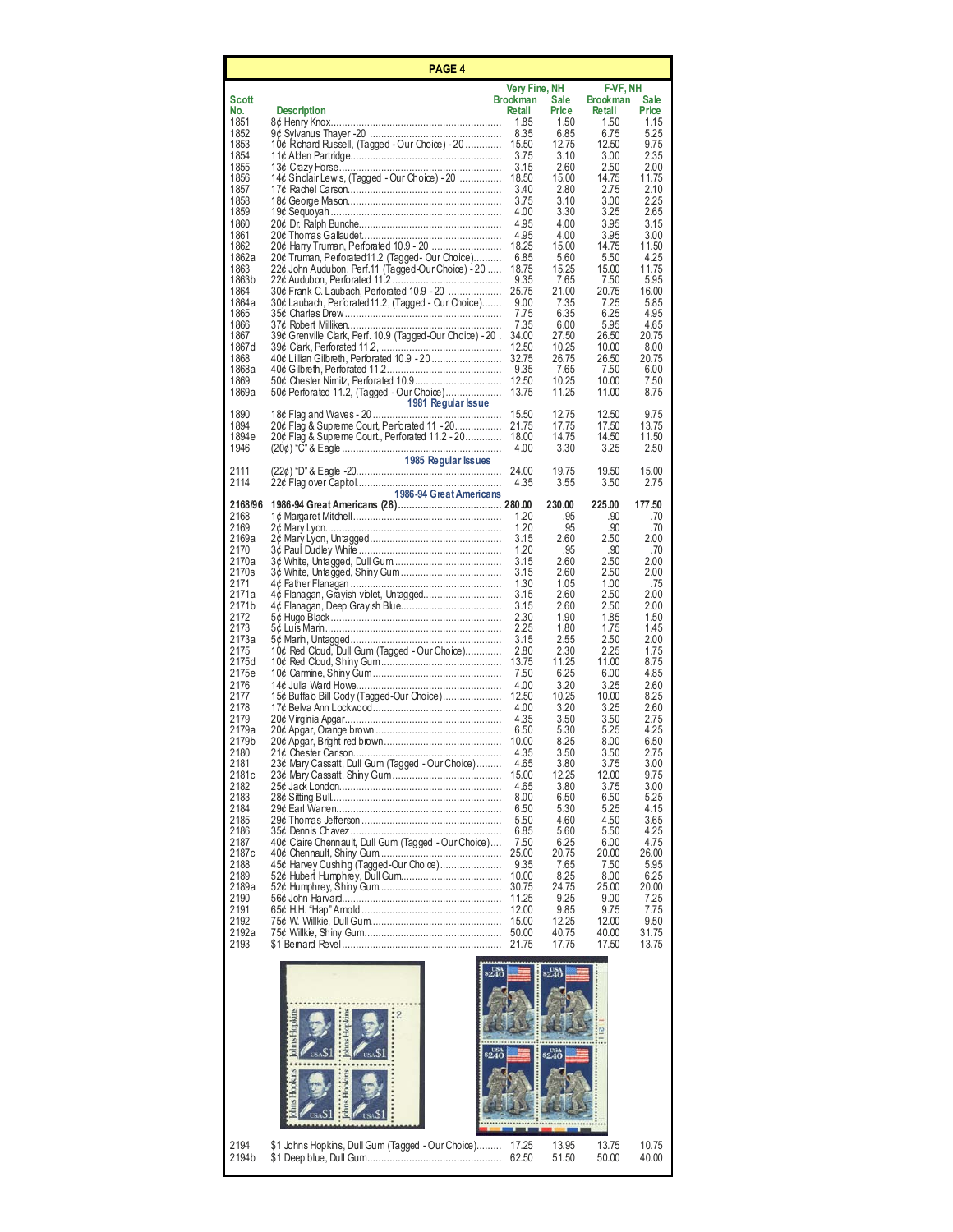|                | PAGE 4                                                                                                  |                                  |                |                             |                |
|----------------|---------------------------------------------------------------------------------------------------------|----------------------------------|----------------|-----------------------------|----------------|
| Scott          |                                                                                                         | Very Fine, NH<br><b>Brookman</b> | Sale           | F-VF, NH<br><b>Brookman</b> | <b>Sale</b>    |
| No.            | <b>Description</b>                                                                                      | Retail                           | Price          | Retail                      | Price          |
| 1851<br>1852   |                                                                                                         | 1.85<br>8.35                     | 1.50<br>6.85   | 1.50<br>6.75                | 1.15<br>5.25   |
| 1853<br>1854   | 10¢ Richard Russell, (Tagged - Our Choice) - 20                                                         | 15.50<br>3.75                    | 12.75<br>3.10  | 12.50<br>3.00               | 9.75<br>2.35   |
| 1855           |                                                                                                         | 3.15                             | 2.60           | 2.50                        | 2.00           |
| 1856<br>1857   | 14¢ Sinclair Lewis, (Tagged - Our Choice) - 20                                                          | 18.50<br>3.40                    | 15.00<br>2.80  | 14.75<br>2.75               | 11.75<br>2.10  |
| 1858<br>1859   |                                                                                                         | 3.75<br>4.00                     | 3.10<br>3.30   | 3.00<br>3.25                | 2.25<br>2.65   |
| 1860           |                                                                                                         | 4.95                             | 4.00           | 3.95                        | 3.15           |
| 1861<br>1862   | 20¢ Harry Truman, Perforated 10.9 - 20                                                                  | 4.95<br>18.25                    | 4.00<br>15.00  | 3.95<br>14.75               | 3.00<br>11.50  |
| 1862a<br>1863  | 20¢ Truman, Perforated 11.2 (Tagged - Our Choice)<br>22¢ John Audubon, Perf.11 (Tagged-Our Choice) - 20 | 6.85<br>18.75                    | 5.60<br>15.25  | 5.50<br>15.00               | 4.25<br>11.75  |
| 1863b          |                                                                                                         | 9.35                             | 7.65           | 7.50                        | 5.95           |
| 1864<br>1864a  | 30¢ Frank C. Laubach, Perforated 10.9 - 20<br>30¢ Laubach, Perforated 11.2, (Tagged - Our Choice)       | 25.75<br>9.00                    | 21.00<br>7.35  | 20.75<br>7.25               | 16.00<br>5.85  |
| 1865           |                                                                                                         | 7.75                             | 6.35           | 6.25                        | 4.95           |
| 1866<br>1867   | 39¢ Grenville Clark, Perf. 10.9 (Tagged-Our Choice) - 20.                                               | 7.35<br>34.00                    | 6.00<br>27.50  | 5.95<br>26.50               | 4.65<br>20.75  |
| 1867 d<br>1868 | 40¢ Lillian Gilbreth, Perforated 10.9 - 20                                                              | 12.50<br>32.75                   | 10.25<br>26.75 | 10.00<br>26.50              | 8.00<br>20.75  |
| 1868a          |                                                                                                         | 9.35                             | 7.65           | 7.50                        | 6.00           |
| 1869<br>1869a  | 50¢ Perforated 11.2, (Tagged - Our Choice)                                                              | 12.50<br>13.75                   | 10.25<br>11.25 | 10.00<br>11.00              | 7.50<br>8.75   |
| 1890           | 1981 Regular Issue                                                                                      | 15.50                            | 12.75          | 12.50                       | 9.75           |
| 1894           | 20¢ Flag & Supreme Court, Perforated 11 - 20                                                            | 21.75                            | 17.75          | 17.50                       | 13.75          |
| 1894e<br>1946  | 20¢ Flag & Supreme Court., Perforated 11.2 - 20                                                         | 18.00<br>4.00                    | 14.75<br>3.30  | 14.50<br>3.25               | 11.50<br>2.50  |
| 2111           | 1985 Regular Issues                                                                                     | 24.00                            | 19.75          | 19.50                       | 15.00          |
| 2114           |                                                                                                         | 4.35                             | 3.55           | 3.50                        | 2.75           |
| 2168/96        | 1986-94 Great Americans                                                                                 |                                  | 230.00         | 225.00                      | 177.50         |
| 2168<br>2169   |                                                                                                         | 1.20<br>1.20                     | .95<br>.95     | .90<br>.90                  | .70<br>.70     |
| 2169a          |                                                                                                         | 3.15                             | 2.60           | 2.50                        | 2.00           |
| 2170<br>2170a  |                                                                                                         | 1.20<br>3.15                     | .95<br>2.60    | .90<br>2.50                 | .70<br>2.00    |
| 2170s<br>2171  |                                                                                                         | 3.15<br>1.30                     | 2.60<br>1.05   | 2.50<br>1.00                | 2.00<br>.75    |
| 2171a          | 4¢ Flanagan, Grayish violet, Untagged                                                                   | 3.15                             | 2.60           | 2.50                        | 2.00           |
| 2171b<br>2172  |                                                                                                         | 3.15<br>2.30                     | 2.60<br>1.90   | 2.50<br>1.85                | 2.00<br>1.50   |
| 2173           |                                                                                                         | 2.25                             | 1.80           | 1.75                        | 1.45           |
| 2173a<br>2175  | 10¢ Red Cloud, Dull Gum (Tagged - Our Choice)                                                           | 3.15<br>2.80                     | 2.55<br>2.30   | 2.50<br>2.25                | 2.00<br>1.75   |
| 2175d<br>2175e |                                                                                                         | 13.75<br>7.50                    | 11.25<br>6.25  | 11.00<br>6.00               | 8.75<br>4.85   |
| 2176           |                                                                                                         | 4.00                             | 3.20           | 3.25                        | 2.60           |
| 2177<br>2178   | 15¢ Buffab Bill Cody (Tagged-Our Choice)                                                                | 12.50<br>4.00                    | 10.25<br>3.20  | 10.00<br>3.25               | 8.25<br>2.60   |
| 2179           |                                                                                                         | 4.35                             | 3.50           | 3.50                        | 2.75           |
| 2179a<br>2179b |                                                                                                         | 6.50<br>10.00                    | 5.30<br>8.25   | 5.25<br>8.00                | 4.25<br>6.50   |
| 2180           |                                                                                                         | 4.35                             | 3.50           | 3.50                        | 2.75           |
| 2181<br>2181c  | 23¢ Mary Cassatt, Dull Gum (Tagged - Our Choice)                                                        | 4.65<br>15.00                    | 3.80<br>12.25  | 3.75<br>12.00               | 3.00<br>9.75   |
| 2182<br>2183   |                                                                                                         | 4.65<br>8.00                     | 3.80<br>6.50   | 3.75<br>6.50                | 3.00<br>5.25   |
| 2184           |                                                                                                         | 6.50                             | 5.30           | 5.25                        | 4.15           |
| 2185<br>2186   |                                                                                                         | 5.50<br>6.85                     | 4.60<br>5.60   | 4.50<br>5.50                | 3.65<br>4.25   |
| 2187           | 40¢ Claire Chennault, Dull Gum (Tagged - Our Choice)                                                    | 7.50                             | 6.25           | 6.00                        | 4.75           |
| 2187c<br>2188  | 45¢ Harvey Cushing (Tagged-Our Choice)                                                                  | 25.00<br>9.35                    | 20.75<br>7.65  | 20.00<br>7.50               | 26.00<br>5.95  |
| 2189<br>2189a  |                                                                                                         | 10.00<br>30.75                   | 8.25<br>24.75  | 8.00<br>25.00               | 6.25<br>20.00  |
| 2190           |                                                                                                         | 11.25                            | 9.25           | 9.00                        | 7.25           |
| 2191<br>2192   |                                                                                                         | 12.00<br>15.00                   | 9.85<br>12.25  | 9.75<br>12.00               | 7.75<br>9.50   |
| 2192a          |                                                                                                         | 50.00                            | 40.75          | 40.00                       | 31.75          |
| 2193           |                                                                                                         | 21.75                            | 17.75          | 17.50                       | 13.75          |
|                |                                                                                                         |                                  | usa<br>240     |                             |                |
|                |                                                                                                         |                                  |                |                             |                |
|                | 2                                                                                                       |                                  |                |                             |                |
|                |                                                                                                         |                                  |                |                             |                |
|                |                                                                                                         |                                  |                |                             |                |
|                |                                                                                                         |                                  |                |                             |                |
|                |                                                                                                         |                                  |                |                             |                |
|                |                                                                                                         |                                  |                |                             |                |
|                |                                                                                                         |                                  |                |                             |                |
|                |                                                                                                         |                                  |                |                             |                |
| 2194<br>2194b  | \$1 Johns Hopkins, Dull Gum (Tagged - Our Choice)                                                       | 17.25<br>62.50                   | 13.95<br>51.50 | 13.75<br>50.00              | 10.75<br>40.00 |
|                |                                                                                                         |                                  |                |                             |                |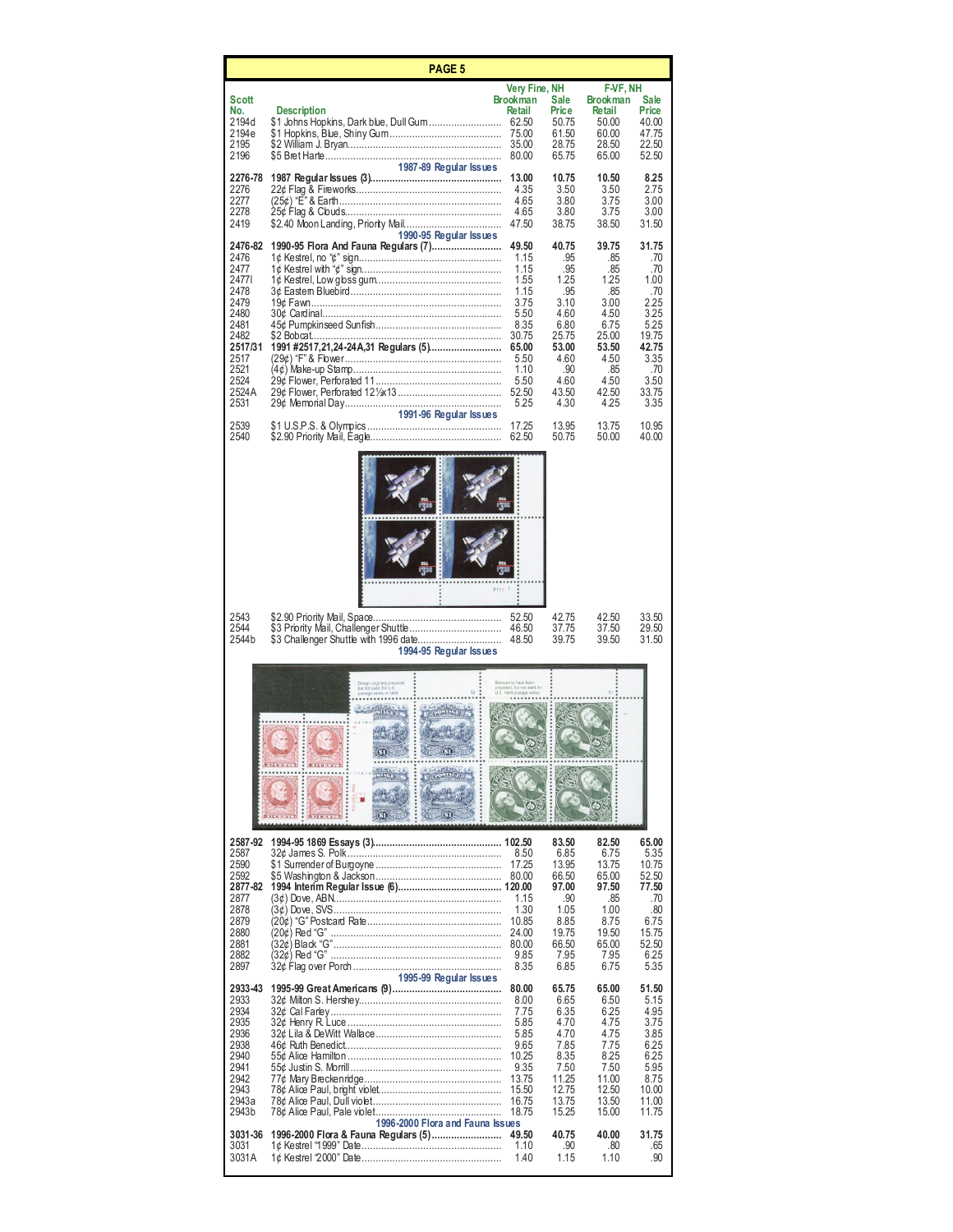|                                                                                                                              | PAGE 5                                                                                                                           |                                                                                                                          |                                                                                                                      |                                                                                                                     |                                                                                                                      |
|------------------------------------------------------------------------------------------------------------------------------|----------------------------------------------------------------------------------------------------------------------------------|--------------------------------------------------------------------------------------------------------------------------|----------------------------------------------------------------------------------------------------------------------|---------------------------------------------------------------------------------------------------------------------|----------------------------------------------------------------------------------------------------------------------|
| Scott                                                                                                                        |                                                                                                                                  | Very Fine, NH<br><b>Brookman</b>                                                                                         | Sale                                                                                                                 | F-VF, NH<br><b>Brookman</b>                                                                                         | Sale                                                                                                                 |
| No.<br>2194d<br>2194e<br>2195<br>2196                                                                                        | <b>Description</b><br>1987-89 Regular Issues                                                                                     | <b>Retail</b><br>75.00<br>80.00                                                                                          | Price<br>50.75<br>61.50<br>28.75<br>65.75                                                                            | Retail<br>50.00<br>60.00<br>28.50<br>65.00                                                                          | Price<br>40.00<br>47.75<br>22.50<br>52.50                                                                            |
| 2276-78<br>2276<br>2277<br>2278<br>2419                                                                                      |                                                                                                                                  | 13.00<br>4.35<br>4.65<br>4.65<br>47.50                                                                                   | 10.75<br>3.50<br>3.80<br>3.80<br>38.75                                                                               | 10.50<br>3.50<br>3.75<br>3.75<br>38.50                                                                              | 8.25<br>2.75<br>3.00<br>3.00<br>31.50                                                                                |
| 2476-82<br>2476<br>2477<br>24771<br>2478<br>2479<br>2480<br>2481<br>2482<br>2517/31<br>2517<br>2521<br>2524<br>2524A<br>2531 | 1990-95 Regular Issues<br>1990-95 Flora And Fauna Regulars (7)<br>1991 #2517,21,24-24A,31 Regulars (5)<br>1991-96 Regular Issues | 49.50<br>1.15<br>1.15<br>1.55<br>1.15<br>3.75<br>5.50<br>8.35<br>30.75<br>65.00<br>5.50<br>1.10<br>5.50<br>52.50<br>5.25 | 40.75<br>.95<br>.95<br>1.25<br>.95<br>3.10<br>4.60<br>6.80<br>25.75<br>53.00<br>4.60<br>.90<br>4.60<br>43.50<br>4.30 | 39.75<br>.85<br>.85<br>1.25<br>.85<br>3.00<br>4.50<br>6.75<br>25.00<br>53.50<br>4.50<br>.85<br>450<br>42.50<br>4.25 | 31.75<br>.70<br>.70<br>1.00<br>.70<br>2.25<br>3.25<br>5.25<br>19.75<br>42.75<br>3.35<br>.70<br>3.50<br>33.75<br>3.35 |
| 2539<br>2540                                                                                                                 |                                                                                                                                  | 17.25<br>62.50                                                                                                           | 13.95<br>50.75                                                                                                       | 13.75<br>50.00                                                                                                      | 10.95<br>40.00                                                                                                       |
|                                                                                                                              |                                                                                                                                  |                                                                                                                          |                                                                                                                      |                                                                                                                     |                                                                                                                      |
| 2543<br>2544<br>2544b                                                                                                        | \$3 Challenger Shuttle with 1996 date<br>1994-95 Regular Issues                                                                  | 52.50<br>46.50<br>48.50                                                                                                  | 42.75<br>37.75<br>39.75                                                                                              | 42.50<br>37.50<br>39.50                                                                                             | 33.50<br>29.50<br>31.50                                                                                              |
|                                                                                                                              | <b>BELHAVED</b> :<br><b>BELUINER</b><br>$\vdots$<br>ŒΤ<br><b>Between</b>                                                         | sed, but not used, fo                                                                                                    |                                                                                                                      |                                                                                                                     |                                                                                                                      |
| 2587-92<br>2587<br>2590<br>2592<br>2877-82<br>2877<br>2878<br>2879<br>2880<br>2881<br>2882<br>2897                           |                                                                                                                                  | 8.50<br>17.25<br>1.15<br>1.30<br>10.85<br>24.00<br>80.00<br>9.85<br>8.35                                                 | 83.50<br>6.85<br>13.95<br>66.50<br>97.00<br>.90<br>1.05<br>8.85<br>19.75<br>66.50<br>7.95<br>6.85                    | 82.50<br>6.75<br>13.75<br>65.00<br>97.50<br>.85<br>1.00<br>8.75<br>19.50<br>65.00<br>7.95<br>6.75                   | 65.00<br>5.35<br>10.75<br>52.50<br>77.50<br>.70<br>.80<br>6.75<br>15.75<br>52.50<br>6.25<br>5.35                     |
| 2933-43<br>2933<br>2934<br>2935<br>2936<br>2938<br>2940<br>2941<br>2942<br>2943<br>2943a<br>2943b                            | 1995-99 Regular Issues<br>1996-2000 Flora and Fauna Issues                                                                       | 80.00<br>8.00<br>7.75<br>5.85<br>5.85<br>9.65<br>10.25<br>9.35<br>13.75<br>15.50<br>16.75<br>18.75                       | 65.75<br>6.65<br>6.35<br>4.70<br>4.70<br>7.85<br>8.35<br>7.50<br>11.25<br>12.75<br>13.75<br>15.25                    | 65.00<br>6.50<br>6.25<br>4.75<br>4.75<br>7.75<br>8.25<br>7.50<br>11.00<br>12.50<br>13.50<br>15.00                   | 51.50<br>5.15<br>4.95<br>3.75<br>3.85<br>6.25<br>6.25<br>5.95<br>8.75<br>10.00<br>11.00<br>11.75                     |
| 3031-36<br>3031<br>3031A                                                                                                     | 1996-2000 Flora & Fauna Regulars (5)                                                                                             | 49.50<br>1.10<br>1.40                                                                                                    | 40.75<br>.90<br>1.15                                                                                                 | 40.00<br>.80<br>1.10                                                                                                | 31.75<br>.65<br>.90                                                                                                  |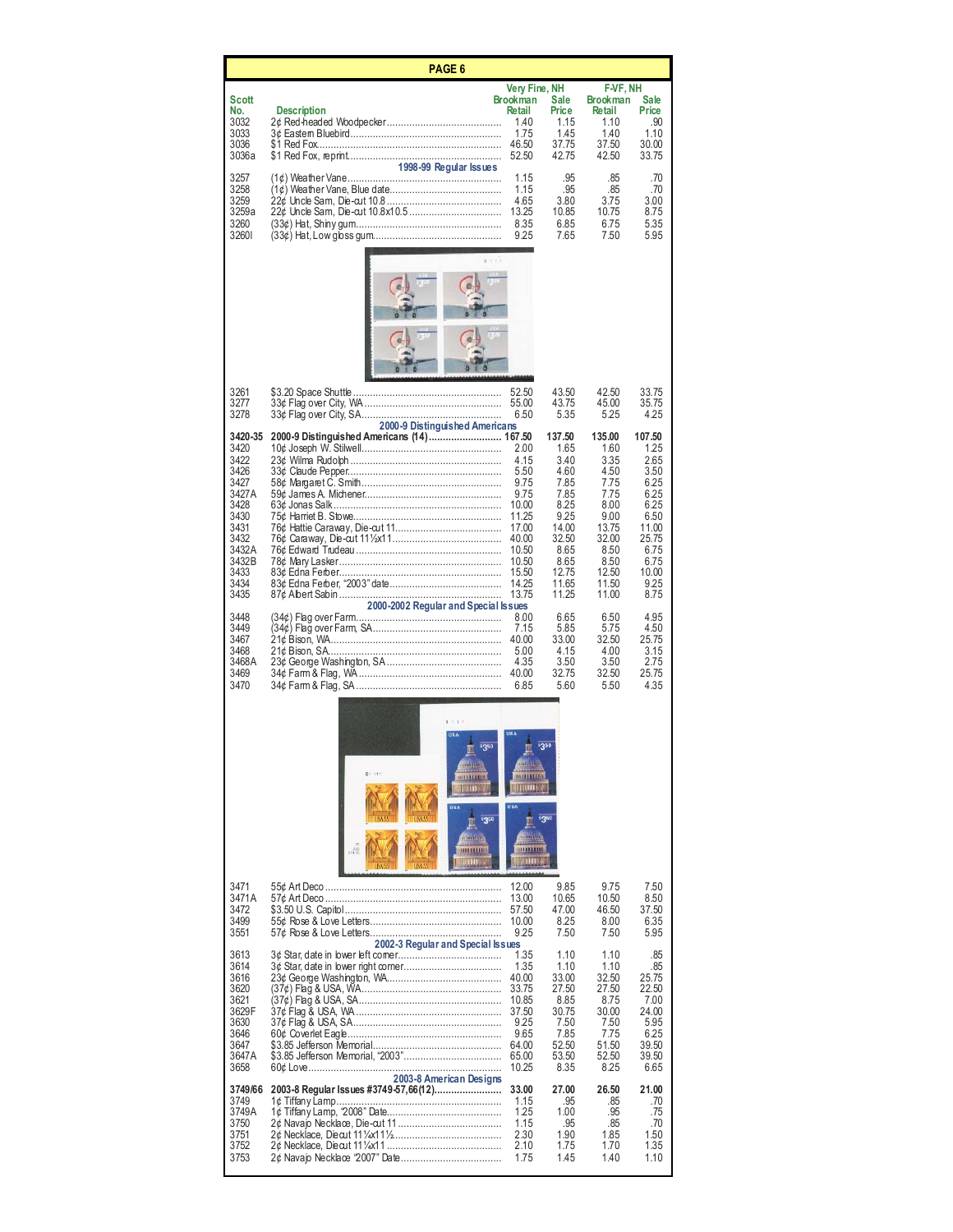| PAGE 6                                                                                                                     |                                                                                                                          |                                                                                                                       |                                                                                                                             |                                                                                                                             |                                                                                                                           |  |  |
|----------------------------------------------------------------------------------------------------------------------------|--------------------------------------------------------------------------------------------------------------------------|-----------------------------------------------------------------------------------------------------------------------|-----------------------------------------------------------------------------------------------------------------------------|-----------------------------------------------------------------------------------------------------------------------------|---------------------------------------------------------------------------------------------------------------------------|--|--|
| Scott<br>No.<br>3032<br>3033<br>3036                                                                                       | <b>Description</b>                                                                                                       | Very Fine, NH<br><b>Brookman</b><br>Retail<br>1.40<br>1.75<br>46.50                                                   | Sale<br>Price<br>1.15<br>1.45<br>37.75                                                                                      | F-VF, NH<br><b>Brookman</b><br><b>Retail</b><br>1.10<br>1.40<br>37.50                                                       | Sale<br>Price<br>.90<br>1.10<br>30.00                                                                                     |  |  |
| 3036a<br>3257<br>3258<br>3259<br>3259a<br>3260<br>32601                                                                    | 1998-99 Regular Issues<br>e suñ                                                                                          | 52.50<br>1.15<br>1.15<br>4.65<br>13.25<br>8.35<br>9.25                                                                | 42.75<br>.95<br>.95<br>3.80<br>10.85<br>6.85<br>7.65                                                                        | 42.50<br>.85<br>.85<br>3.75<br>10.75<br>6.75<br>7.50                                                                        | 33.75<br>.70<br>.70<br>3.00<br>8.75<br>5.35<br>5.95                                                                       |  |  |
|                                                                                                                            |                                                                                                                          |                                                                                                                       |                                                                                                                             |                                                                                                                             |                                                                                                                           |  |  |
| 3261<br>3277<br>3278                                                                                                       | 2000-9 Distinguished Americans                                                                                           | 52.50<br>55.00<br>650                                                                                                 | 43.50<br>43.75<br>5.35                                                                                                      | 42.50<br>45.00<br>5.25                                                                                                      | 33.75<br>35.75<br>4.25                                                                                                    |  |  |
| 3420-35<br>3420<br>3422<br>3426<br>3427<br>3427A<br>3428<br>3430<br>3431<br>3432<br>3432A<br>3432B<br>3433<br>3434<br>3435 | 2000-9 Distinguished Americans (14) 167.50<br>63¢ Jonas Salk …………………………………………………<br>2000-2002 Regular and Special Issues | 2.00<br>4.15<br>5.50<br>9.75<br>9.75<br>10.00<br>11.25<br>17.00<br>40.00<br>10.50<br>10.50<br>15.50<br>14.25<br>13.75 | 137.50<br>1.65<br>3.40<br>4.60<br>7.85<br>7.85<br>8.25<br>9.25<br>14.00<br>32.50<br>8.65<br>8.65<br>12.75<br>11.65<br>11.25 | 135.00<br>1.60<br>3.35<br>4.50<br>7.75<br>7.75<br>8.00<br>9.00<br>13.75<br>32.00<br>8.50<br>8.50<br>12.50<br>11.50<br>11.00 | 107.50<br>1.25<br>2.65<br>3.50<br>6.25<br>6.25<br>6.25<br>6.50<br>11.00<br>25.75<br>6.75<br>6.75<br>10.00<br>9.25<br>8.75 |  |  |
| 3448<br>3449<br>3467<br>3468<br>3468A<br>3469<br>3470                                                                      |                                                                                                                          | 8.00<br>7.15<br>40.00<br>5.00<br>4.35<br>40.00<br>6.85                                                                | 6.65<br>5.85<br>33.00<br>4.15<br>3.50<br>32.75<br>5.60                                                                      | 6.50<br>5.75<br>32.50<br>4.00<br>3.50<br>32.50<br>5.50                                                                      | 4.95<br>4.50<br>25.75<br>3.15<br>2.75<br>25.75<br>4.35                                                                    |  |  |
|                                                                                                                            | $B = 11$<br>350<br>41 G<br>8!111<br>пинце<br><b>HUBS</b><br>\$350<br><b>MAGGAR</b><br>DITILINE<br>X2D<br><b>MOUT</b>     | <b>DELIBUTO</b><br><b>THERE</b><br>$\lambda$ and<br>0111111116<br>mm                                                  |                                                                                                                             |                                                                                                                             |                                                                                                                           |  |  |
| 3471<br>3471A<br>3472<br>3499<br>3551                                                                                      | 2002-3 Regular and Special Issues                                                                                        | 12.00<br>13.00<br>57.50<br>10.00<br>9.25                                                                              | 9.85<br>10.65<br>47.00<br>8.25<br>7.50                                                                                      | 9.75<br>10.50<br>46.50<br>8.00<br>7.50                                                                                      | 7.50<br>8.50<br>37.50<br>6.35<br>5.95                                                                                     |  |  |
| 3613<br>3614<br>3616<br>3620<br>3621<br>3629F<br>3630<br>3646<br>3647<br>3647A<br>3658                                     | 2003-8 American Designs                                                                                                  | 1.35<br>1.35<br>40.00<br>33.75<br>10.85<br>37.50<br>9.25<br>9.65<br>64.00<br>65.00<br>10.25                           | 1.10<br>1.10<br>33.00<br>27.50<br>8.85<br>30.75<br>7.50<br>7.85<br>52.50<br>53.50<br>8.35                                   | 1.10<br>1.10<br>32.50<br>27.50<br>8.75<br>30.00<br>7.50<br>7.75<br>51.50<br>52.50<br>8.25                                   | .85<br>.85<br>25.75<br>22.50<br>7.00<br>24.00<br>5.95<br>6.25<br>39.50<br>39.50<br>6.65                                   |  |  |
| 3749/66<br>3749<br>3749A<br>3750<br>3751<br>3752<br>3753                                                                   |                                                                                                                          | 33.00<br>1.15<br>1.25<br>1.15<br>2.30<br>2.10                                                                         | 27.00<br>.95<br>1.00<br>.95<br>1.90<br>1.75<br>1.45                                                                         | 26.50<br>.85<br>.95<br>.85<br>1.85<br>1.70<br>1.40                                                                          | 21.00<br>.70<br>.75<br>.70<br>1.50<br>1.35<br>1.10                                                                        |  |  |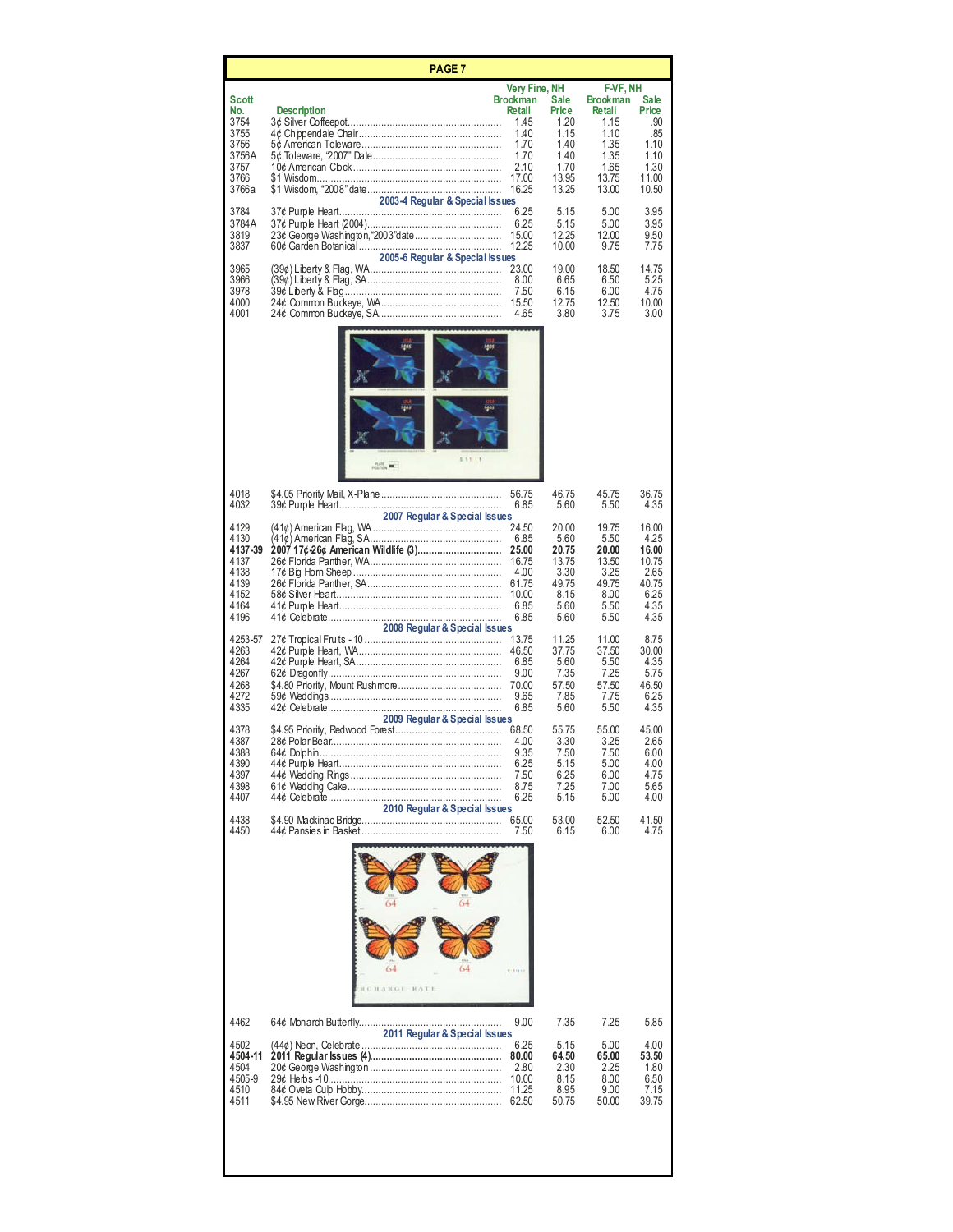|                                                                                                                         | <b>PAGE 7</b>                                                                                                                       |                                                                                                                                                                |                                                                                                                            |                                                                                                                                            |                                                                                                                        |  |  |
|-------------------------------------------------------------------------------------------------------------------------|-------------------------------------------------------------------------------------------------------------------------------------|----------------------------------------------------------------------------------------------------------------------------------------------------------------|----------------------------------------------------------------------------------------------------------------------------|--------------------------------------------------------------------------------------------------------------------------------------------|------------------------------------------------------------------------------------------------------------------------|--|--|
| Scott<br>No.<br>3754<br>3755<br>3756<br>3756A<br>3757<br>3766<br>3766a<br>3784<br>3784A<br>3819<br>3837<br>3965<br>3966 | <b>Description</b><br>2003-4 Regular & Special Issues<br>2005-6 Regular & Special Issues<br>(39¢) Liberty & Flag, SA……………………………………… | Very Fine, NH<br><b>Brookman</b><br><b>Retail</b><br>1.45<br>1.40<br>1.70<br>1.70<br>2.10<br>17.00<br>16.25<br>6.25<br>6.25<br>15.00<br>12.25<br>23.00<br>8.00 | Sale<br>Price<br>1.20<br>1.15<br>1.40<br>1.40<br>1.70<br>13.95<br>13.25<br>5.15<br>5.15<br>12.25<br>10.00<br>19.00<br>6.65 | F-VF, NH<br>Brookman<br>Retail<br>1.15<br>1.10<br>1.35<br>1.35<br>1.65<br>13.75<br>13.00<br>5.00<br>5.00<br>12.00<br>9.75<br>18.50<br>6.50 | Sale<br>Price<br>.90<br>.85<br>1.10<br>1.10<br>1.30<br>11.00<br>10.50<br>3.95<br>3.95<br>9.50<br>7.75<br>14.75<br>5.25 |  |  |
| 3978<br>4000<br>4001                                                                                                    | 39¢ Liberty & Flag……………………………………………<br>811.1<br>w.                                                                                  | 7.50<br>15.50<br>4.65                                                                                                                                          | 6.15<br>12.75<br>3.80                                                                                                      | 6.00<br>12.50<br>3.75                                                                                                                      | 4.75<br>10.00<br>3.00                                                                                                  |  |  |
| 4018<br>4032                                                                                                            |                                                                                                                                     | 56.75<br>6.85                                                                                                                                                  | 46.75<br>5.60                                                                                                              | 45.75<br>5.50                                                                                                                              | 36.75<br>4.35                                                                                                          |  |  |
| 4129<br>4130<br>4137-39<br>4137<br>4138<br>4139<br>4152<br>4164<br>4196                                                 | 2007 Regular & Special Issues<br>2008 Regular & Special Issues                                                                      | 24.50<br>6.85<br>25.00<br>16.75<br>4.00<br>61.75<br>10.00<br>6.85<br>6.85                                                                                      | 20.00<br>5.60<br>20.75<br>13.75<br>3.30<br>49.75<br>8.15<br>5.60<br>5.60                                                   | 19.75<br>5.50<br>20.00<br>13.50<br>3.25<br>49.75<br>8.00<br>5.50<br>5.50                                                                   | 16.00<br>4.25<br>16.00<br>10.75<br>2.65<br>40.75<br>6.25<br>4.35<br>4.35                                               |  |  |
| 4253-57<br>4263<br>4264<br>4267<br>4268<br>4272<br>4335                                                                 | 2009 Regular & Special Issues                                                                                                       | 13.75<br>46.50<br>6.85<br>9.00<br>70.00<br>9.65<br>6.85                                                                                                        | 11.25<br>37.75<br>5.60<br>7.35<br>57.50<br>7.85<br>5.60                                                                    | 11.00<br>37.50<br>5.50<br>7.25<br>57.50<br>7.75<br>5.50                                                                                    | 8.75<br>30.00<br>4.35<br>5.75<br>46.50<br>6.25<br>4.35                                                                 |  |  |
| 4378<br>4387<br>4388<br>4390<br>4397<br>4398<br>4407                                                                    | 2010 Regular & Special Issues                                                                                                       | 68.50<br>4.00<br>9.35<br>6.25<br>7.50<br>8.75<br>6.25                                                                                                          | 55.75<br>3.30<br>7.50<br>5.15<br>6.25<br>7.25<br>5.15                                                                      | 55.00<br>3.25<br>7.50<br>5.00<br>6.00<br>7.00<br>5.00                                                                                      | 45.00<br>2.65<br>6.00<br>4.00<br>4.75<br>5.65<br>4.00                                                                  |  |  |
| 4438<br>4450                                                                                                            |                                                                                                                                     | 65.00<br>7.50                                                                                                                                                  | 53.00<br>6.15                                                                                                              | 52.50<br>6.00                                                                                                                              | 41.50<br>4.75                                                                                                          |  |  |
|                                                                                                                         | 64<br>ARGE RATE                                                                                                                     | $V = 11117$                                                                                                                                                    |                                                                                                                            |                                                                                                                                            |                                                                                                                        |  |  |
| 4462                                                                                                                    | .<br>2011 Regular & Special Issues                                                                                                  | 9.00                                                                                                                                                           | 7.35                                                                                                                       | 7.25                                                                                                                                       | 5.85                                                                                                                   |  |  |
| 4502<br>4504-11<br>4504<br>4505-9<br>4510<br>4511                                                                       |                                                                                                                                     | 6.25<br>80.00<br>2.80<br>10.00<br>11.25<br>62.50                                                                                                               | 5.15<br>64.50<br>2.30<br>8.15<br>8.95<br>50.75                                                                             | 5.00<br>65.00<br>2.25<br>8.00<br>9.00<br>50.00                                                                                             | 4.00<br>53.50<br>1.80<br>6.50<br>7.15<br>39.75                                                                         |  |  |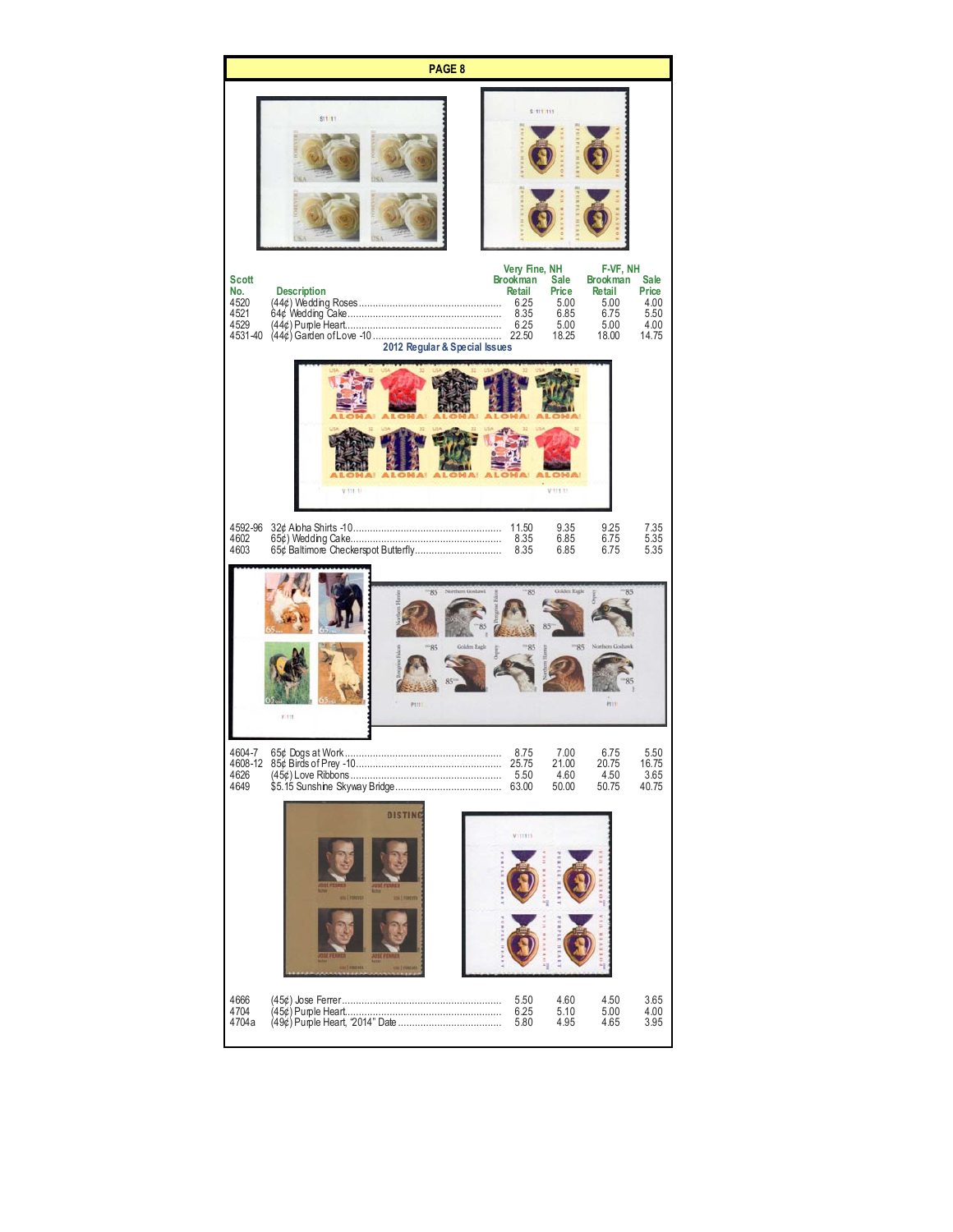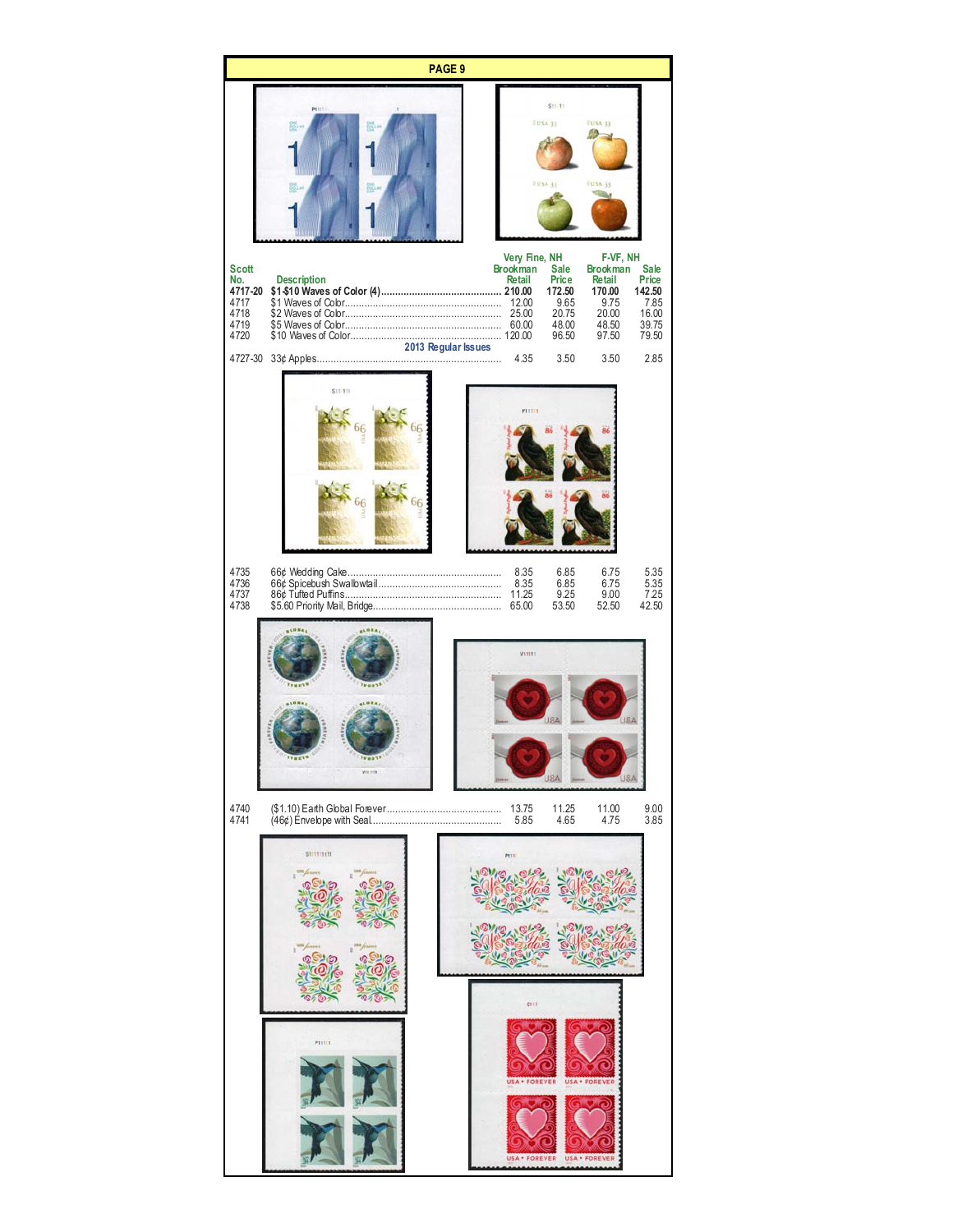